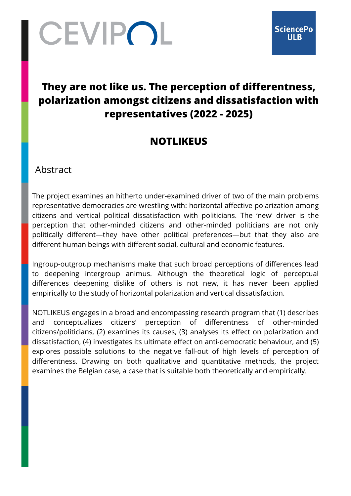# CEVIPOL

## **They are not like us. The perception of differentness, polarization amongst citizens and dissatisfaction with representatives (2022 - 2025)**

## **NOTLIKEUS**

Abstract

The project examines an hitherto under-examined driver of two of the main problems representative democracies are wrestling with: horizontal affective polarization among citizens and vertical political dissatisfaction with politicians. The 'new' driver is the perception that other-minded citizens and other-minded politicians are not only politically different—they have other political preferences—but that they also are different human beings with different social, cultural and economic features.

Ingroup-outgroup mechanisms make that such broad perceptions of differences lead to deepening intergroup animus. Although the theoretical logic of perceptual differences deepening dislike of others is not new, it has never been applied empirically to the study of horizontal polarization and vertical dissatisfaction.

NOTLIKEUS engages in a broad and encompassing research program that (1) describes and conceptualizes citizens' perception of differentness of other-minded citizens/politicians, (2) examines its causes, (3) analyses its effect on polarization and dissatisfaction, (4) investigates its ultimate effect on anti-democratic behaviour, and (5) explores possible solutions to the negative fall-out of high levels of perception of differentness. Drawing on both qualitative and quantitative methods, the project examines the Belgian case, a case that is suitable both theoretically and empirically.